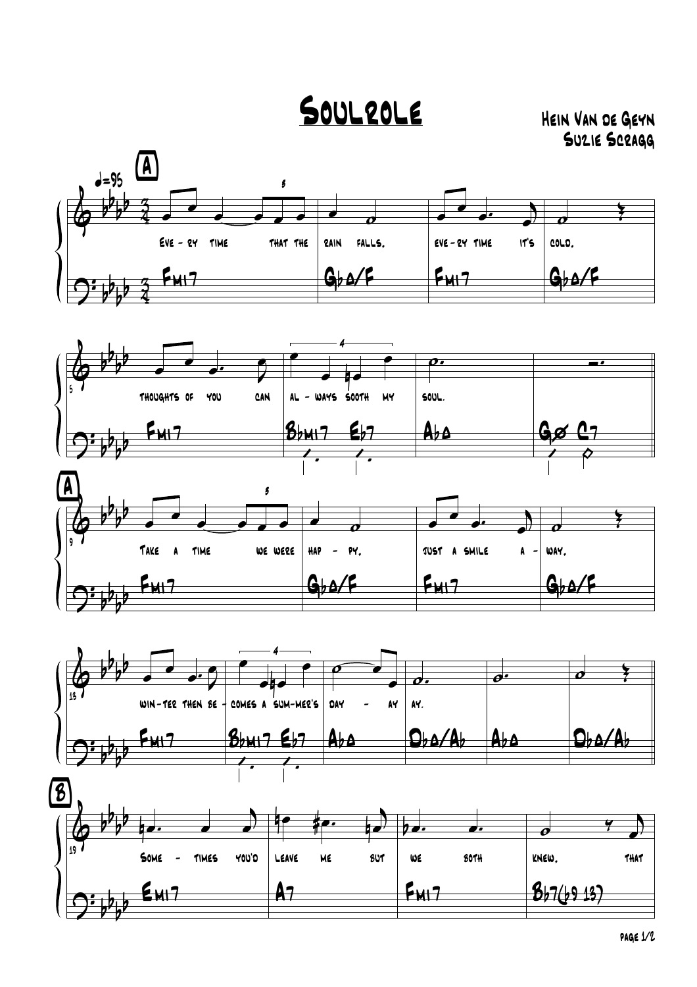## SOULROLE HEIN VAN DE GEYN

Suzie Scragg